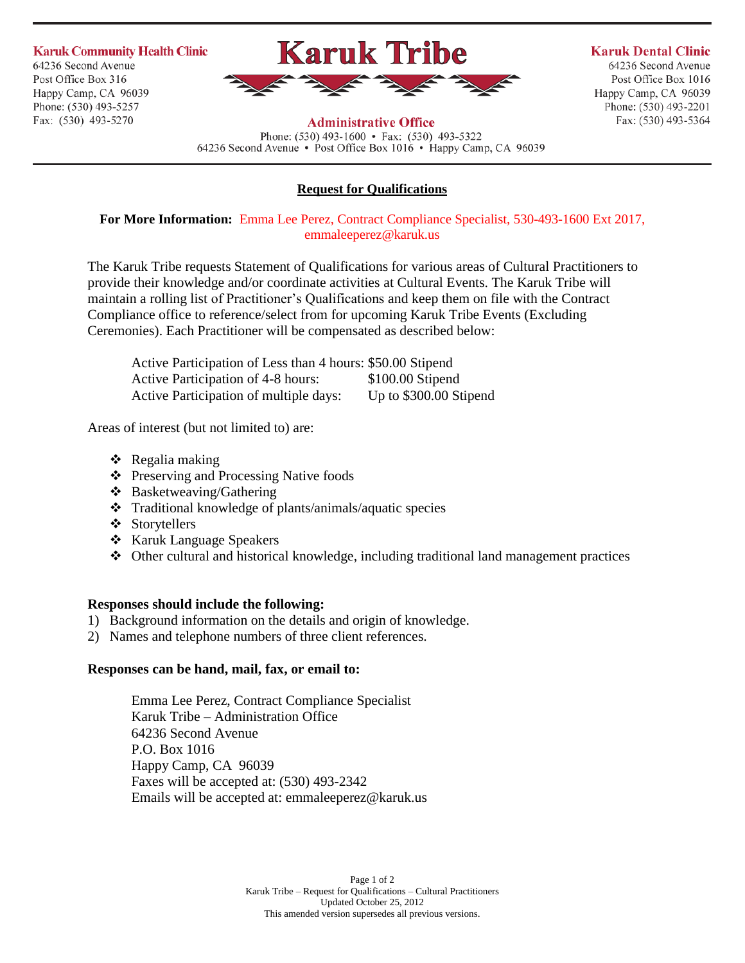**Karuk Community Health Clinic** 64236 Second Avenue Post Office Box 316 Happy Camp, CA 96039 Phone: (530) 493-5257 Fax: (530) 493-5270



# **Karuk Dental Clinic**

64236 Second Avenue Post Office Box 1016 Happy Camp, CA 96039 Phone: (530) 493-2201 Fax: (530) 493-5364

### **Administrative Office**

Phone:  $(530)$  493-1600 • Fax:  $(530)$  493-5322 64236 Second Avenue • Post Office Box 1016 • Happy Camp, CA 96039

## **Request for Qualifications**

**For More Information:** Emma Lee Perez, Contract Compliance Specialist, 530-493-1600 Ext 2017, emmaleeperez@karuk.us

The Karuk Tribe requests Statement of Qualifications for various areas of Cultural Practitioners to provide their knowledge and/or coordinate activities at Cultural Events. The Karuk Tribe will maintain a rolling list of Practitioner's Qualifications and keep them on file with the Contract Compliance office to reference/select from for upcoming Karuk Tribe Events (Excluding Ceremonies). Each Practitioner will be compensated as described below:

| Active Participation of Less than 4 hours: \$50.00 Stipend |                        |
|------------------------------------------------------------|------------------------|
| <b>Active Participation of 4-8 hours:</b>                  | $$100.00$ Stipend      |
| <b>Active Participation of multiple days:</b>              | Up to \$300.00 Stipend |

Areas of interest (but not limited to) are:

- $\triangleleft$  Regalia making
- ❖ Preserving and Processing Native foods
- $\triangleleft$  Basketweaving/Gathering
- Traditional knowledge of plants/animals/aquatic species
- Storytellers
- Karuk Language Speakers
- Other cultural and historical knowledge, including traditional land management practices

## **Responses should include the following:**

- 1) Background information on the details and origin of knowledge.
- 2) Names and telephone numbers of three client references.

## **Responses can be hand, mail, fax, or email to:**

Emma Lee Perez, Contract Compliance Specialist Karuk Tribe – Administration Office 64236 Second Avenue P.O. Box 1016 Happy Camp, CA 96039 Faxes will be accepted at: (530) 493-2342 Emails will be accepted at: emmaleeperez@karuk.us